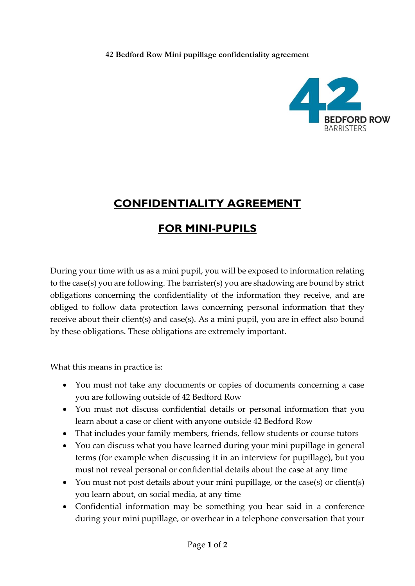## **42 Bedford Row Mini pupillage confidentiality agreement**



## **CONFIDENTIALITY AGREEMENT**

## **FOR MINI-PUPILS**

During your time with us as a mini pupil, you will be exposed to information relating to the case(s) you are following. The barrister(s) you are shadowing are bound by strict obligations concerning the confidentiality of the information they receive, and are obliged to follow data protection laws concerning personal information that they receive about their client(s) and case(s). As a mini pupil, you are in effect also bound by these obligations. These obligations are extremely important.

What this means in practice is:

- You must not take any documents or copies of documents concerning a case you are following outside of 42 Bedford Row
- You must not discuss confidential details or personal information that you learn about a case or client with anyone outside 42 Bedford Row
- That includes your family members, friends, fellow students or course tutors
- You can discuss what you have learned during your mini pupillage in general terms (for example when discussing it in an interview for pupillage), but you must not reveal personal or confidential details about the case at any time
- You must not post details about your mini pupillage, or the case(s) or client(s) you learn about, on social media, at any time
- Confidential information may be something you hear said in a conference during your mini pupillage, or overhear in a telephone conversation that your